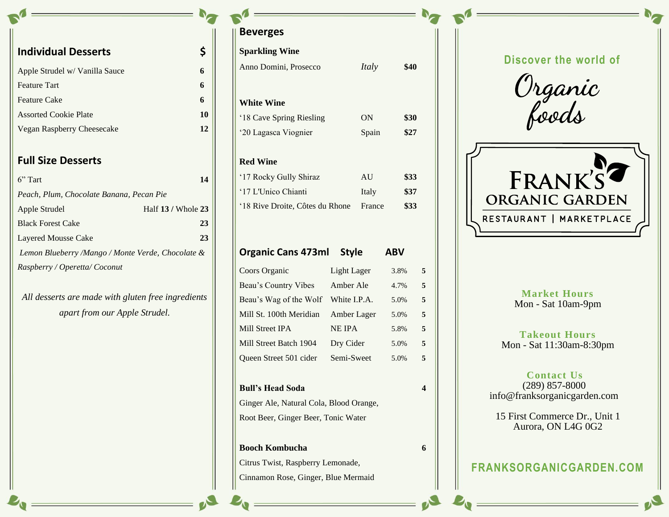| <b>Individual Desserts</b>     |    |
|--------------------------------|----|
| Apple Strudel w/ Vanilla Sauce | 6  |
| <b>Feature Tart</b>            | 6  |
| <b>Feature Cake</b>            | 6  |
| <b>Assorted Cookie Plate</b>   | 10 |
| Vegan Raspberry Cheesecake     | 12 |
|                                |    |
|                                |    |

### **Full Size Desserts**

| $6"$ Tart                                         | 14                 |  |  |  |  |
|---------------------------------------------------|--------------------|--|--|--|--|
| Peach, Plum, Chocolate Banana, Pecan Pie          |                    |  |  |  |  |
| Apple Strudel                                     | Half 13 / Whole 23 |  |  |  |  |
| <b>Black Forest Cake</b>                          | 23                 |  |  |  |  |
| Layered Mousse Cake                               | 23                 |  |  |  |  |
| Lemon Blueberry /Mango / Monte Verde, Chocolate & |                    |  |  |  |  |
| Raspberry / Operetta/ Coconut                     |                    |  |  |  |  |

*All desserts are made with gluten free ingredients apart from our Apple Strudel.*

**Beverges**

| <b>Sparkling Wine</b>                   |               |              |            |   |
|-----------------------------------------|---------------|--------------|------------|---|
| Anno Domini, Prosecco                   |               | <i>Italy</i> | \$40       |   |
|                                         |               |              |            |   |
| <b>White Wine</b>                       |               |              |            |   |
| '18 Cave Spring Riesling                |               | ON           | \$30       |   |
| '20 Lagasca Viognier                    |               | Spain        | \$27       |   |
| <b>Red Wine</b>                         |               |              |            |   |
| '17 Rocky Gully Shiraz                  |               | AU           | \$33       |   |
| '17 L'Unico Chianti                     |               | Italy        | \$37       |   |
| '18 Rive Droite, Côtes du Rhone         |               | France       | \$33       |   |
|                                         |               |              |            |   |
| <b>Organic Cans 473ml</b>               | <b>Style</b>  |              | <b>ABV</b> |   |
|                                         |               |              |            |   |
| Coors Organic                           | Light Lager   |              | 3.8%       | 5 |
| Beau's Country Vibes                    | Amber Ale     |              | 4.7%       | 5 |
| Beau's Wag of the Wolf White I.P.A.     |               |              | 5.0%       | 5 |
| Mill St. 100th Meridian                 | Amber Lager   |              | 5.0%       | 5 |
| Mill Street IPA                         | <b>NE IPA</b> |              | 5.8%       | 5 |
| Mill Street Batch 1904                  | Dry Cider     |              | 5.0%       | 5 |
| Queen Street 501 cider                  | Semi-Sweet    |              | 5.0%       | 5 |
| <b>Bull's Head Soda</b>                 |               |              |            | 4 |
| Ginger Ale, Natural Cola, Blood Orange, |               |              |            |   |
| Root Beer, Ginger Beer, Tonic Water     |               |              |            |   |
| <b>Booch Kombucha</b>                   |               |              |            | 6 |
| Citrus Twist, Raspberry Lemonade,       |               |              |            |   |
| Cinnamon Rose, Ginger, Blue Mermaid     |               |              |            |   |

# **Discover the world of**

Organic<br>foods



### **Market Hours** Mon - Sat 10am-9pm

**Takeout Hours** Mon - Sat 11:30am-8:30pm

#### **Contact Us** (289) 857-8000 info@franksorganicgarden.com

15 First Commerce Dr., Unit 1 Aurora, ON L4G 0G2

# **FRANKSORGANICGARDEN.COM**